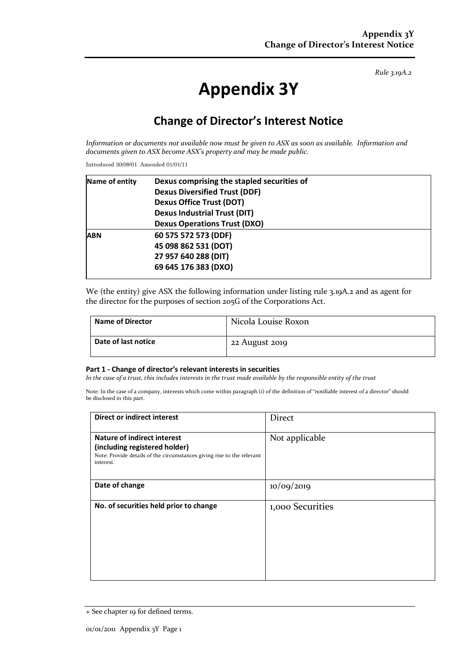*Rule 3.19A.2*

# **Appendix 3Y**

## **Change of Director's Interest Notice**

*Information or documents not available now must be given to ASX as soon as available. Information and documents given to ASX become ASX's property and may be made public.*

Introduced 30/09/01 Amended 01/01/11

| Name of entity | Dexus comprising the stapled securities of |  |
|----------------|--------------------------------------------|--|
|                | <b>Dexus Diversified Trust (DDF)</b>       |  |
|                | <b>Dexus Office Trust (DOT)</b>            |  |
|                | <b>Dexus Industrial Trust (DIT)</b>        |  |
|                | <b>Dexus Operations Trust (DXO)</b>        |  |
| <b>ABN</b>     | 60 575 572 573 (DDF)                       |  |
|                | 45 098 862 531 (DOT)                       |  |
|                | 27 957 640 288 (DIT)                       |  |
|                | 69 645 176 383 (DXO)                       |  |
|                |                                            |  |

We (the entity) give ASX the following information under listing rule 3.19A.2 and as agent for the director for the purposes of section 205G of the Corporations Act.

| Name of Director    | Nicola Louise Roxon |
|---------------------|---------------------|
| Date of last notice | 22 August 2019      |

#### **Part 1 - Change of director's relevant interests in securities**

*In the case of a trust, this includes interests in the trust made available by the responsible entity of the trust*

Note: In the case of a company, interests which come within paragraph (i) of the definition of "notifiable interest of a director" should be disclosed in this part.

| Direct or indirect interest                                                                                                                         | Direct           |
|-----------------------------------------------------------------------------------------------------------------------------------------------------|------------------|
| Nature of indirect interest<br>(including registered holder)<br>Note: Provide details of the circumstances giving rise to the relevant<br>interest. | Not applicable   |
| Date of change                                                                                                                                      | 10/09/2019       |
| No. of securities held prior to change                                                                                                              | 1,000 Securities |

<sup>+</sup> See chapter 19 for defined terms.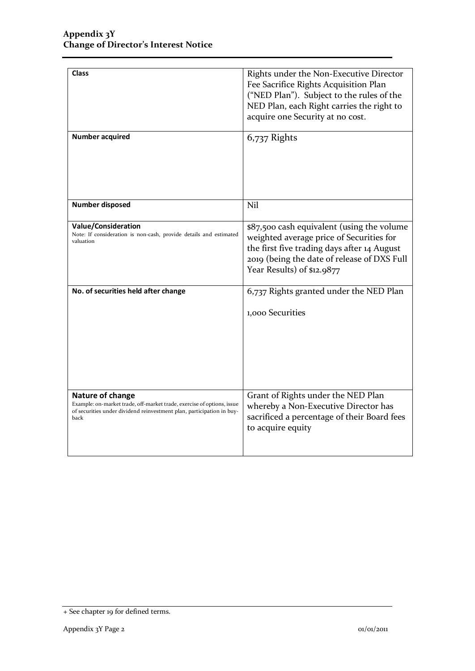| <b>Class</b>                                                                                                                                                                | Rights under the Non-Executive Director<br>Fee Sacrifice Rights Acquisition Plan<br>("NED Plan"). Subject to the rules of the<br>NED Plan, each Right carries the right to<br>acquire one Security at no cost.     |
|-----------------------------------------------------------------------------------------------------------------------------------------------------------------------------|--------------------------------------------------------------------------------------------------------------------------------------------------------------------------------------------------------------------|
| <b>Number acquired</b>                                                                                                                                                      | 6,737 Rights                                                                                                                                                                                                       |
| <b>Number disposed</b>                                                                                                                                                      | Nil                                                                                                                                                                                                                |
| <b>Value/Consideration</b><br>Note: If consideration is non-cash, provide details and estimated<br>valuation                                                                | \$87,500 cash equivalent (using the volume<br>weighted average price of Securities for<br>the first five trading days after 14 August<br>2019 (being the date of release of DXS Full<br>Year Results) of \$12.9877 |
| No. of securities held after change                                                                                                                                         | 6,737 Rights granted under the NED Plan<br>1,000 Securities                                                                                                                                                        |
| Nature of change<br>Example: on-market trade, off-market trade, exercise of options, issue<br>of securities under dividend reinvestment plan, participation in buy-<br>back | Grant of Rights under the NED Plan<br>whereby a Non-Executive Director has<br>sacrificed a percentage of their Board fees<br>to acquire equity                                                                     |

<sup>+</sup> See chapter 19 for defined terms.